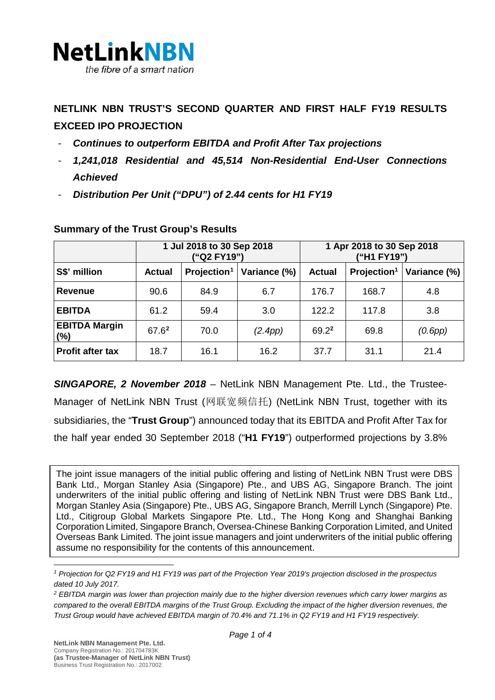

# **NETLINK NBN TRUST'S SECOND QUARTER AND FIRST HALF FY19 RESULTS EXCEED IPO PROJECTION**

- *Continues to outperform EBITDA and Profit After Tax projections*
- *1,241,018 Residential and 45,514 Non-Residential End-User Connections Achieved*
- *Distribution Per Unit ("DPU") of 2.44 cents for H1 FY19*

|                             | 1 Jul 2018 to 30 Sep 2018<br>("Q2 FY19") |                         |              | 1 Apr 2018 to 30 Sep 2018<br>("H1 FY19") |                         |              |
|-----------------------------|------------------------------------------|-------------------------|--------------|------------------------------------------|-------------------------|--------------|
| S\$' million                | Actual                                   | Projection <sup>1</sup> | Variance (%) | <b>Actual</b>                            | Projection <sup>1</sup> | Variance (%) |
| Revenue                     | 90.6                                     | 84.9                    | 6.7          | 176.7                                    | 168.7                   | 4.8          |
| <b>EBITDA</b>               | 61.2                                     | 59.4                    | 3.0          | 122.2                                    | 117.8                   | 3.8          |
| <b>EBITDA Margin</b><br>(%) | $67.6^2$                                 | 70.0                    | (2.4pp)      | $69.2^2$                                 | 69.8                    | (0.6pp)      |
| <b>Profit after tax</b>     | 18.7                                     | 16.1                    | 16.2         | 37.7                                     | 31.1                    | 21.4         |

### **Summary of the Trust Group's Results**

*SINGAPORE, 2 November 2018 –* NetLink NBN Management Pte. Ltd., the Trustee-Manager of NetLink NBN Trust (网联宽频信托) (NetLink NBN Trust, together with its subsidiaries, the "**Trust Group**") announced today that its EBITDA and Profit After Tax for the half year ended 30 September 2018 ("**H1 FY19**") outperformed projections by 3.8%

The joint issue managers of the initial public offering and listing of NetLink NBN Trust were DBS Bank Ltd., Morgan Stanley Asia (Singapore) Pte., and UBS AG, Singapore Branch. The joint underwriters of the initial public offering and listing of NetLink NBN Trust were DBS Bank Ltd., Morgan Stanley Asia (Singapore) Pte., UBS AG, Singapore Branch, Merrill Lynch (Singapore) Pte. Ltd., Citigroup Global Markets Singapore Pte. Ltd., The Hong Kong and Shanghai Banking Corporation Limited, Singapore Branch, Oversea-Chinese Banking Corporation Limited, and United Overseas Bank Limited. The joint issue managers and joint underwriters of the initial public offering assume no responsibility for the contents of this announcement.

<span id="page-0-0"></span>*<sup>1</sup> Projection for Q2 FY19 and H1 FY19 was part of the Projection Year 2019's projection disclosed in the prospectus dated 10 July 2017.*

<span id="page-0-1"></span>*<sup>2</sup> EBITDA margin was lower than projection mainly due to the higher diversion revenues which carry lower margins as*  compared to the overall EBITDA margins of the Trust Group. Excluding the impact of the higher diversion revenues, the *Trust Group would have achieved EBITDA margin of 70.4% and 71.1% in Q2 FY19 and H1 FY19 respectively.*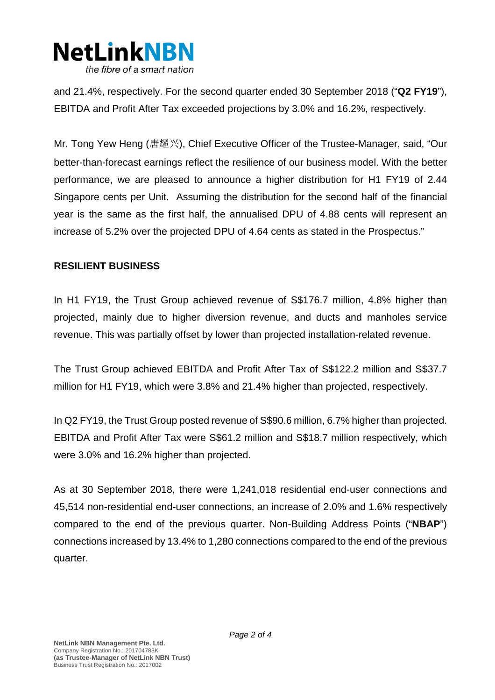

and 21.4%, respectively. For the second quarter ended 30 September 2018 ("**Q2 FY19**"), EBITDA and Profit After Tax exceeded projections by 3.0% and 16.2%, respectively.

Mr. Tong Yew Heng (唐耀兴), Chief Executive Officer of the Trustee-Manager, said, "Our better-than-forecast earnings reflect the resilience of our business model. With the better performance, we are pleased to announce a higher distribution for H1 FY19 of 2.44 Singapore cents per Unit. Assuming the distribution for the second half of the financial year is the same as the first half, the annualised DPU of 4.88 cents will represent an increase of 5.2% over the projected DPU of 4.64 cents as stated in the Prospectus."

#### **RESILIENT BUSINESS**

In H1 FY19, the Trust Group achieved revenue of S\$176.7 million, 4.8% higher than projected, mainly due to higher diversion revenue, and ducts and manholes service revenue. This was partially offset by lower than projected installation-related revenue.

The Trust Group achieved EBITDA and Profit After Tax of S\$122.2 million and S\$37.7 million for H1 FY19, which were 3.8% and 21.4% higher than projected, respectively.

In Q2 FY19, the Trust Group posted revenue of S\$90.6 million, 6.7% higher than projected. EBITDA and Profit After Tax were S\$61.2 million and S\$18.7 million respectively, which were 3.0% and 16.2% higher than projected.

As at 30 September 2018, there were 1,241,018 residential end-user connections and 45,514 non-residential end-user connections, an increase of 2.0% and 1.6% respectively compared to the end of the previous quarter. Non-Building Address Points ("**NBAP**") connections increased by 13.4% to 1,280 connections compared to the end of the previous quarter.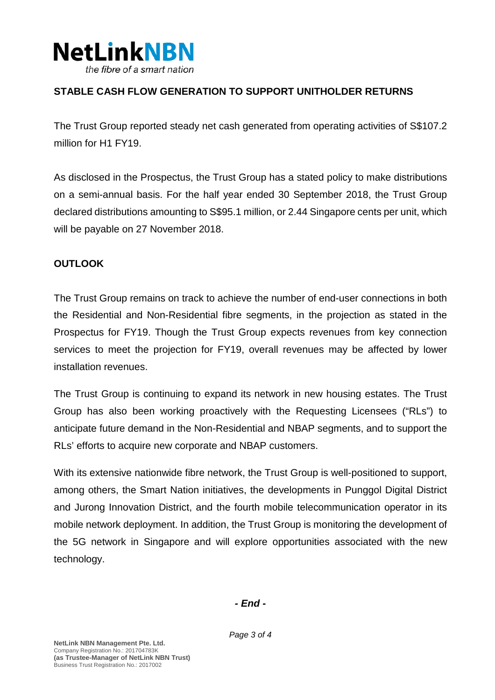

## **STABLE CASH FLOW GENERATION TO SUPPORT UNITHOLDER RETURNS**

The Trust Group reported steady net cash generated from operating activities of S\$107.2 million for H1 FY19.

As disclosed in the Prospectus, the Trust Group has a stated policy to make distributions on a semi-annual basis. For the half year ended 30 September 2018, the Trust Group declared distributions amounting to S\$95.1 million, or 2.44 Singapore cents per unit, which will be payable on 27 November 2018.

### **OUTLOOK**

The Trust Group remains on track to achieve the number of end-user connections in both the Residential and Non-Residential fibre segments, in the projection as stated in the Prospectus for FY19. Though the Trust Group expects revenues from key connection services to meet the projection for FY19, overall revenues may be affected by lower installation revenues.

The Trust Group is continuing to expand its network in new housing estates. The Trust Group has also been working proactively with the Requesting Licensees ("RLs") to anticipate future demand in the Non-Residential and NBAP segments, and to support the RLs' efforts to acquire new corporate and NBAP customers.

With its extensive nationwide fibre network, the Trust Group is well-positioned to support, among others, the Smart Nation initiatives, the developments in Punggol Digital District and Jurong Innovation District, and the fourth mobile telecommunication operator in its mobile network deployment. In addition, the Trust Group is monitoring the development of the 5G network in Singapore and will explore opportunities associated with the new technology.

*- End -*